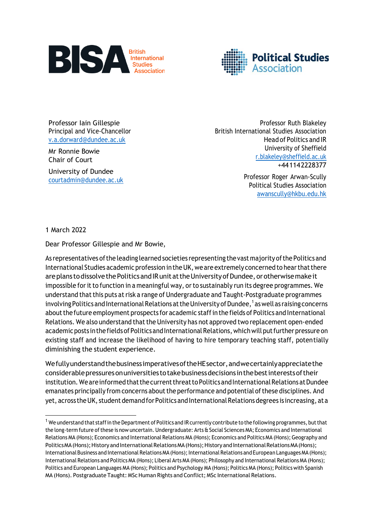



Professor Iain Gillespie Principal and Vice-Chancellor [v.a.dorward@dundee.ac.uk](mailto:v.a.dorward@dundee.ac.uk)

Mr Ronnie Bowie Chair of Court

University of Dundee [courtadmin@dundee.ac.uk](mailto:courtadmin@dundee.ac.uk)

Professor Ruth Blakeley British International Studies Association Head of Politics and IR University of Sheffield [r.blakeley@sheffield.ac.uk](mailto:r.blakeley@sheffield.ac.uk) +441142228377

> Professor Roger Arwan-Scully Political Studies Association [awanscully@hkbu.edu.hk](mailto:awanscully@hkbu.edu.hk)

1 March 2022

Dear Professor Gillespie and Mr Bowie,

As representatives of the leading learned societies representing the vast majority of the Politics and International Studies academic profession in the UK, we are extremely concerned to hear that there are plans to dissolve the Politics and IR unit at the University of Dundee, or otherwise make it impossible for it to function in a meaningful way, or to sustainably run its degree programmes. We understand that this puts at risk a range of Undergraduate and Taught-Postgraduate programmes involving Politics and International Relations at the University of Dundee,  $^{\rm 1}$  as well as raising concerns about the future employment prospects for academic staff in the fields of Politics and International Relations. We also understand that the University has not approved two replacement open-ended academic posts in the fields of Politics and International Relations, which will put further pressure on existing staff and increase the likelihood of having to hire temporary teaching staff, potentially diminishing the student experience.

WefullyunderstandthebusinessimperativesoftheHEsector,andwecertainlyappreciatethe considerablepressuresonuniversitiestotakebusinessdecisions inthebestinterestsoftheir institution. We are informed that the current threat to Politics and International Relations at Dundee emanates principally from concerns about the performance and potential of these disciplines. And yet, across the UK, student demand for Politics and International Relations degrees is increasing, at a

<sup>&</sup>lt;sup>1</sup> We understand that staff in the Department of Politics and IR currently contribute to the following programmes, but that the long-term future ofthese is now uncertain. Undergraduate: Arts & Social Sciences MA; Economics and International Relations MA (Hons); Economics and International Relations MA (Hons); Economics and Politics MA (Hons); Geography and Politics MA (Hons); History and International Relations MA (Hons); History and International Relations MA (Hons); International Business and International Relations MA (Hons); International Relations and European Languages MA (Hons); International Relations and Politics MA (Hons); Liberal Arts MA (Hons); Philosophy and International Relations MA (Hons); Politics and European Languages MA (Hons); Politics and Psychology MA (Hons); Politics MA (Hons); Politics with Spanish MA (Hons). Postgraduate Taught: MSc Human Rights and Conflict; MSc International Relations.